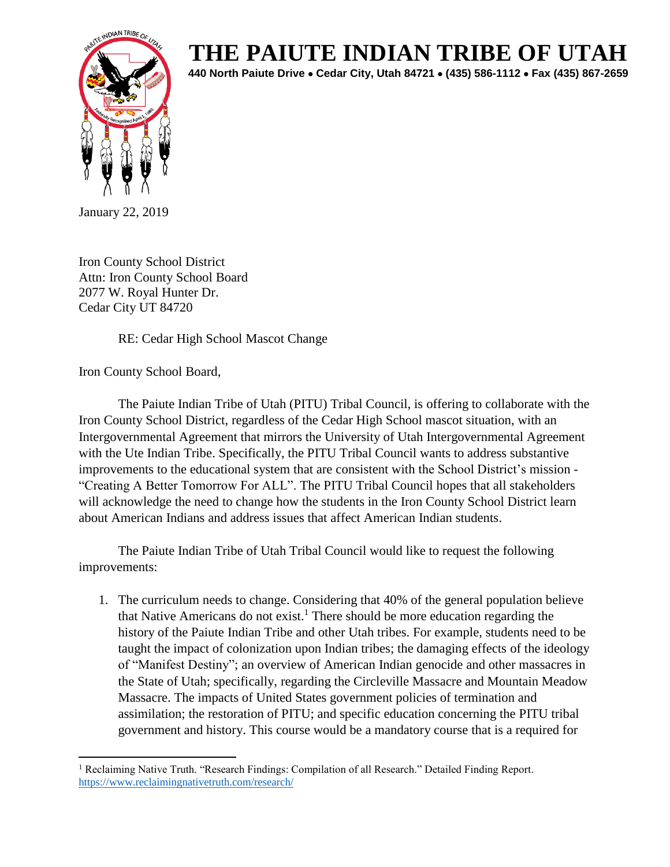

## **THE PAIUTE INDIAN TRIBE OF UTAH**

**440 North Paiute Drive** • **Cedar City, Utah 84721** • **(435) 586-1112** • **Fax (435) 867-2659** 

January 22, 2019

Iron County School District Attn: Iron County School Board 2077 W. Royal Hunter Dr. Cedar City UT 84720

RE: Cedar High School Mascot Change

Iron County School Board,

The Paiute Indian Tribe of Utah (PITU) Tribal Council, is offering to collaborate with the Iron County School District, regardless of the Cedar High School mascot situation, with an Intergovernmental Agreement that mirrors the University of Utah Intergovernmental Agreement with the Ute Indian Tribe. Specifically, the PITU Tribal Council wants to address substantive improvements to the educational system that are consistent with the School District's mission - "Creating A Better Tomorrow For ALL". The PITU Tribal Council hopes that all stakeholders will acknowledge the need to change how the students in the Iron County School District learn about American Indians and address issues that affect American Indian students.

The Paiute Indian Tribe of Utah Tribal Council would like to request the following improvements:

1. The curriculum needs to change. Considering that 40% of the general population believe that Native Americans do not exist.<sup>1</sup> There should be more education regarding the history of the Paiute Indian Tribe and other Utah tribes. For example, students need to be taught the impact of colonization upon Indian tribes; the damaging effects of the ideology of "Manifest Destiny"; an overview of American Indian genocide and other massacres in the State of Utah; specifically, regarding the Circleville Massacre and Mountain Meadow Massacre. The impacts of United States government policies of termination and assimilation; the restoration of PITU; and specific education concerning the PITU tribal government and history. This course would be a mandatory course that is a required for

 $\overline{a}$ <sup>1</sup> Reclaiming Native Truth. "Research Findings: Compilation of all Research." Detailed Finding Report. <https://www.reclaimingnativetruth.com/research/>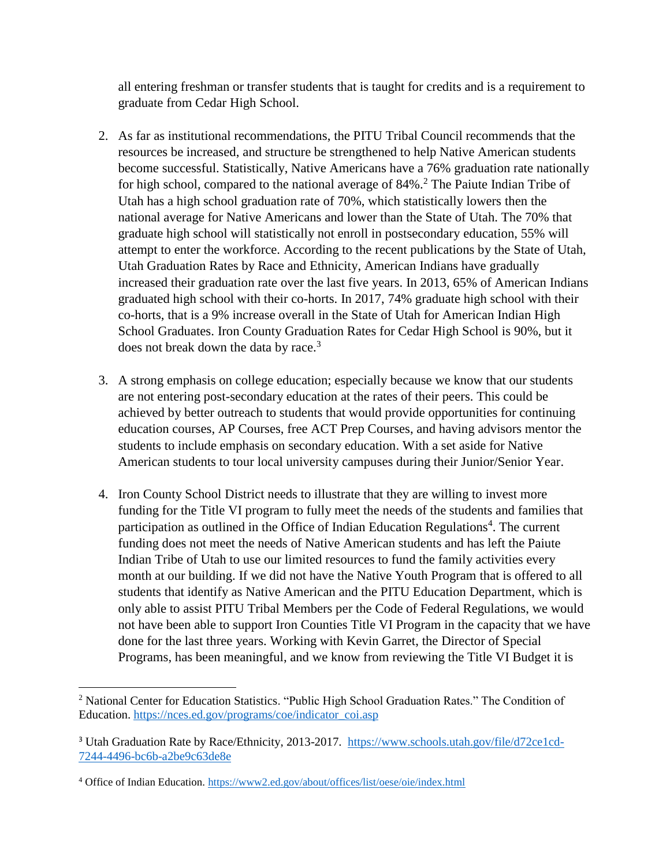all entering freshman or transfer students that is taught for credits and is a requirement to graduate from Cedar High School.

- 2. As far as institutional recommendations, the PITU Tribal Council recommends that the resources be increased, and structure be strengthened to help Native American students become successful. Statistically, Native Americans have a 76% graduation rate nationally for high school, compared to the national average of 84%.<sup>2</sup> The Paiute Indian Tribe of Utah has a high school graduation rate of 70%, which statistically lowers then the national average for Native Americans and lower than the State of Utah. The 70% that graduate high school will statistically not enroll in postsecondary education, 55% will attempt to enter the workforce. According to the recent publications by the State of Utah, Utah Graduation Rates by Race and Ethnicity, American Indians have gradually increased their graduation rate over the last five years. In 2013, 65% of American Indians graduated high school with their co-horts. In 2017, 74% graduate high school with their co-horts, that is a 9% increase overall in the State of Utah for American Indian High School Graduates. Iron County Graduation Rates for Cedar High School is 90%, but it does not break down the data by race.<sup>3</sup>
- 3. A strong emphasis on college education; especially because we know that our students are not entering post-secondary education at the rates of their peers. This could be achieved by better outreach to students that would provide opportunities for continuing education courses, AP Courses, free ACT Prep Courses, and having advisors mentor the students to include emphasis on secondary education. With a set aside for Native American students to tour local university campuses during their Junior/Senior Year.
- 4. Iron County School District needs to illustrate that they are willing to invest more funding for the Title VI program to fully meet the needs of the students and families that participation as outlined in the Office of Indian Education Regulations<sup>4</sup>. The current funding does not meet the needs of Native American students and has left the Paiute Indian Tribe of Utah to use our limited resources to fund the family activities every month at our building. If we did not have the Native Youth Program that is offered to all students that identify as Native American and the PITU Education Department, which is only able to assist PITU Tribal Members per the Code of Federal Regulations, we would not have been able to support Iron Counties Title VI Program in the capacity that we have done for the last three years. Working with Kevin Garret, the Director of Special Programs, has been meaningful, and we know from reviewing the Title VI Budget it is

 $\overline{\phantom{a}}$ 

<sup>&</sup>lt;sup>2</sup> National Center for Education Statistics. "Public High School Graduation Rates." The Condition of Education. [https://nces.ed.gov/programs/coe/indicator\\_coi.asp](https://nces.ed.gov/programs/coe/indicator_coi.asp)

<sup>&</sup>lt;sup>3</sup> Utah Graduation Rate by Race/Ethnicity, 2013-2017. [https://www.schools.utah.gov/file/d72ce1cd-](https://www.schools.utah.gov/file/d72ce1cd-7244-4496-bc6b-a2be9c63de8e)[7244-4496-bc6b-a2be9c63de8e](https://www.schools.utah.gov/file/d72ce1cd-7244-4496-bc6b-a2be9c63de8e)

<sup>4</sup> Office of Indian Education.<https://www2.ed.gov/about/offices/list/oese/oie/index.html>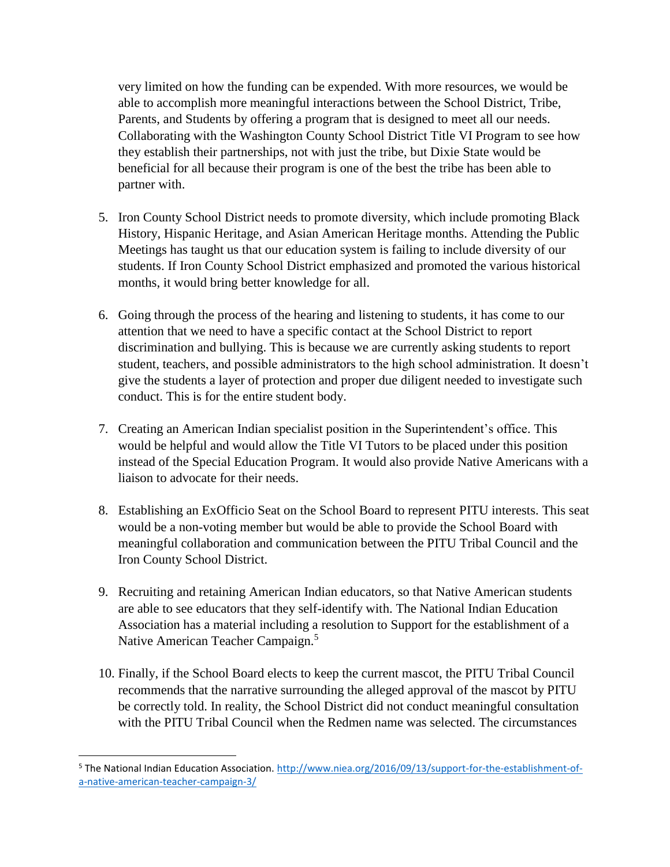very limited on how the funding can be expended. With more resources, we would be able to accomplish more meaningful interactions between the School District, Tribe, Parents, and Students by offering a program that is designed to meet all our needs. Collaborating with the Washington County School District Title VI Program to see how they establish their partnerships, not with just the tribe, but Dixie State would be beneficial for all because their program is one of the best the tribe has been able to partner with.

- 5. Iron County School District needs to promote diversity, which include promoting Black History, Hispanic Heritage, and Asian American Heritage months. Attending the Public Meetings has taught us that our education system is failing to include diversity of our students. If Iron County School District emphasized and promoted the various historical months, it would bring better knowledge for all.
- 6. Going through the process of the hearing and listening to students, it has come to our attention that we need to have a specific contact at the School District to report discrimination and bullying. This is because we are currently asking students to report student, teachers, and possible administrators to the high school administration. It doesn't give the students a layer of protection and proper due diligent needed to investigate such conduct. This is for the entire student body.
- 7. Creating an American Indian specialist position in the Superintendent's office. This would be helpful and would allow the Title VI Tutors to be placed under this position instead of the Special Education Program. It would also provide Native Americans with a liaison to advocate for their needs.
- 8. Establishing an ExOfficio Seat on the School Board to represent PITU interests. This seat would be a non-voting member but would be able to provide the School Board with meaningful collaboration and communication between the PITU Tribal Council and the Iron County School District.
- 9. Recruiting and retaining American Indian educators, so that Native American students are able to see educators that they self-identify with. The National Indian Education Association has a material including a resolution to Support for the establishment of a Native American Teacher Campaign.<sup>5</sup>
- 10. Finally, if the School Board elects to keep the current mascot, the PITU Tribal Council recommends that the narrative surrounding the alleged approval of the mascot by PITU be correctly told. In reality, the School District did not conduct meaningful consultation with the PITU Tribal Council when the Redmen name was selected. The circumstances

 $\overline{\phantom{a}}$ 

<sup>5</sup> The National Indian Education Association. [http://www.niea.org/2016/09/13/support-for-the-establishment-of](http://www.niea.org/2016/09/13/support-for-the-establishment-of-a-native-american-teacher-campaign-3/)[a-native-american-teacher-campaign-3/](http://www.niea.org/2016/09/13/support-for-the-establishment-of-a-native-american-teacher-campaign-3/)